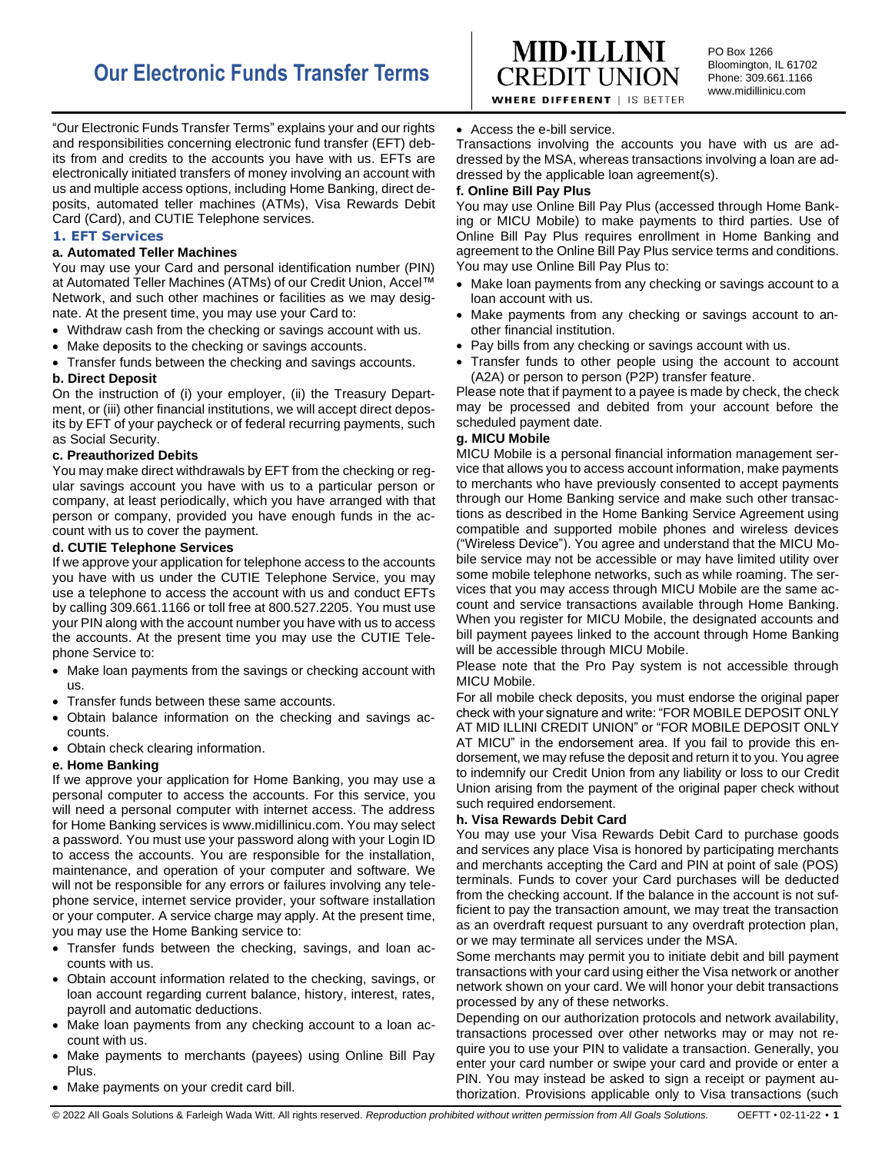

PO Box 1266 Bloomington, IL 61702 Phone: 309.661.1166 www.midillinicu.com

**WHERE DIFFERENT | IS BETTER** 

"Our Electronic Funds Transfer Terms" explains your and our rights and responsibilities concerning electronic fund transfer (EFT) debits from and credits to the accounts you have with us. EFTs are electronically initiated transfers of money involving an account with us and multiple access options, including Home Banking, direct deposits, automated teller machines (ATMs), Visa Rewards Debit Card (Card), and CUTIE Telephone services.

# **1. EFT Services**

## **a. Automated Teller Machines**

You may use your Card and personal identification number (PIN) at Automated Teller Machines (ATMs) of our Credit Union, Accel™ Network, and such other machines or facilities as we may designate. At the present time, you may use your Card to:

- Withdraw cash from the checking or savings account with us.
- Make deposits to the checking or savings accounts.
- Transfer funds between the checking and savings accounts.

# **b. Direct Deposit**

On the instruction of (i) your employer, (ii) the Treasury Department, or (iii) other financial institutions, we will accept direct deposits by EFT of your paycheck or of federal recurring payments, such as Social Security.

# **c. Preauthorized Debits**

You may make direct withdrawals by EFT from the checking or regular savings account you have with us to a particular person or company, at least periodically, which you have arranged with that person or company, provided you have enough funds in the account with us to cover the payment.

## **d. CUTIE Telephone Services**

If we approve your application for telephone access to the accounts you have with us under the CUTIE Telephone Service, you may use a telephone to access the account with us and conduct EFTs by calling 309.661.1166 or toll free at 800.527.2205. You must use your PIN along with the account number you have with us to access the accounts. At the present time you may use the CUTIE Telephone Service to:

- Make loan payments from the savings or checking account with us.
- Transfer funds between these same accounts.
- Obtain balance information on the checking and savings accounts.
- Obtain check clearing information.

# **e. Home Banking**

If we approve your application for Home Banking, you may use a personal computer to access the accounts. For this service, you will need a personal computer with internet access. The address for Home Banking services is www.midillinicu.com. You may select a password. You must use your password along with your Login ID to access the accounts. You are responsible for the installation, maintenance, and operation of your computer and software. We will not be responsible for any errors or failures involving any telephone service, internet service provider, your software installation or your computer. A service charge may apply. At the present time, you may use the Home Banking service to:

- Transfer funds between the checking, savings, and loan accounts with us.
- Obtain account information related to the checking, savings, or loan account regarding current balance, history, interest, rates, payroll and automatic deductions.
- Make loan payments from any checking account to a loan account with us.
- Make payments to merchants (payees) using Online Bill Pay Plus.
- Make payments on your credit card bill.

• Access the e-bill service.

Transactions involving the accounts you have with us are addressed by the MSA, whereas transactions involving a loan are addressed by the applicable loan agreement(s).

# **f. Online Bill Pay Plus**

You may use Online Bill Pay Plus (accessed through Home Banking or MICU Mobile) to make payments to third parties. Use of Online Bill Pay Plus requires enrollment in Home Banking and agreement to the Online Bill Pay Plus service terms and conditions. You may use Online Bill Pay Plus to:

- Make loan payments from any checking or savings account to a loan account with us.
- Make payments from any checking or savings account to another financial institution.
- Pay bills from any checking or savings account with us.
- Transfer funds to other people using the account to account (A2A) or person to person (P2P) transfer feature.

Please note that if payment to a payee is made by check, the check may be processed and debited from your account before the scheduled payment date.

# **g. MICU Mobile**

MICU Mobile is a personal financial information management service that allows you to access account information, make payments to merchants who have previously consented to accept payments through our Home Banking service and make such other transactions as described in the Home Banking Service Agreement using compatible and supported mobile phones and wireless devices ("Wireless Device"). You agree and understand that the MICU Mobile service may not be accessible or may have limited utility over some mobile telephone networks, such as while roaming. The services that you may access through MICU Mobile are the same account and service transactions available through Home Banking. When you register for MICU Mobile, the designated accounts and bill payment payees linked to the account through Home Banking will be accessible through MICU Mobile.

Please note that the Pro Pay system is not accessible through MICU Mobile.

For all mobile check deposits, you must endorse the original paper check with your signature and write: "FOR MOBILE DEPOSIT ONLY AT MID ILLINI CREDIT UNION" or "FOR MOBILE DEPOSIT ONLY AT MICU" in the endorsement area. If you fail to provide this endorsement, we may refuse the deposit and return it to you. You agree to indemnify our Credit Union from any liability or loss to our Credit Union arising from the payment of the original paper check without such required endorsement.

## **h. Visa Rewards Debit Card**

You may use your Visa Rewards Debit Card to purchase goods and services any place Visa is honored by participating merchants and merchants accepting the Card and PIN at point of sale (POS) terminals. Funds to cover your Card purchases will be deducted from the checking account. If the balance in the account is not sufficient to pay the transaction amount, we may treat the transaction as an overdraft request pursuant to any overdraft protection plan, or we may terminate all services under the MSA.

Some merchants may permit you to initiate debit and bill payment transactions with your card using either the Visa network or another network shown on your card. We will honor your debit transactions processed by any of these networks.

Depending on our authorization protocols and network availability, transactions processed over other networks may or may not require you to use your PIN to validate a transaction. Generally, you enter your card number or swipe your card and provide or enter a PIN. You may instead be asked to sign a receipt or payment authorization. Provisions applicable only to Visa transactions (such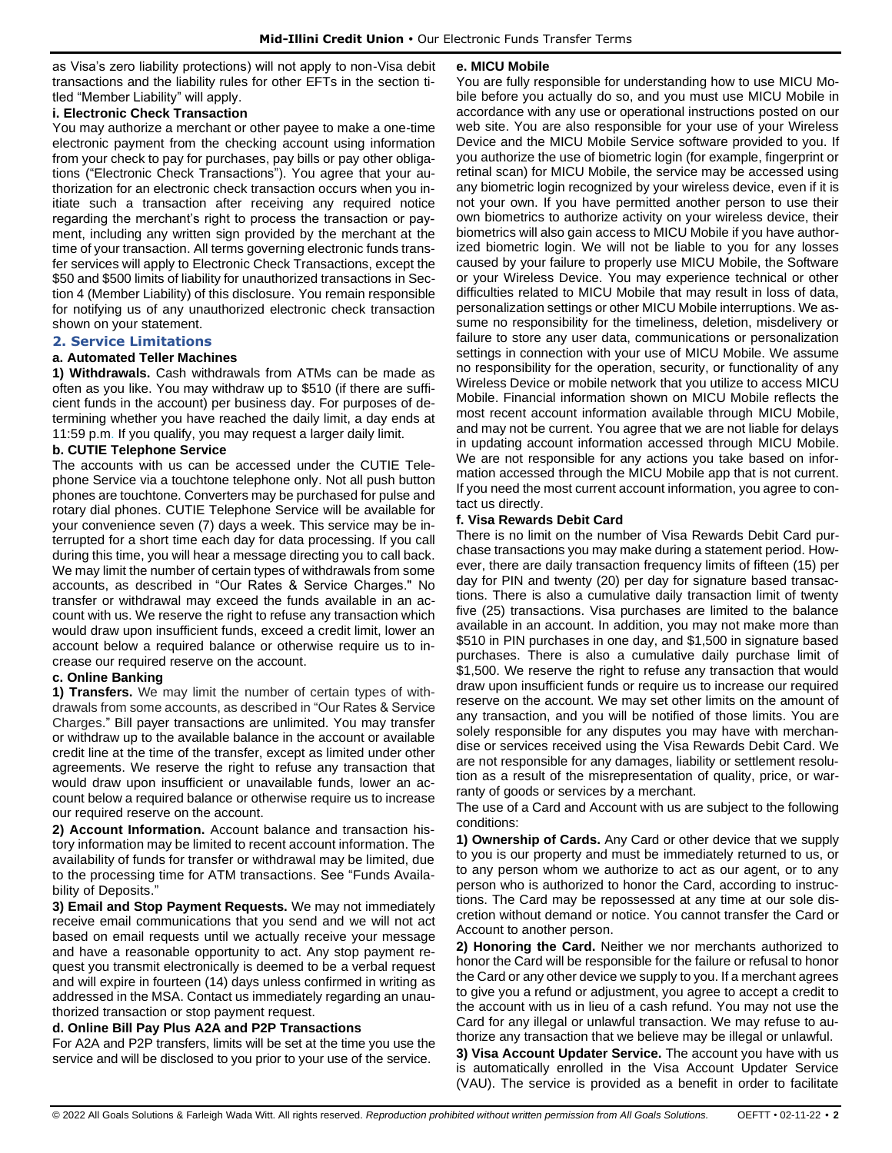as Visa's zero liability protections) will not apply to non-Visa debit transactions and the liability rules for other EFTs in the section titled "Member Liability" will apply.

# **i. Electronic Check Transaction**

You may authorize a merchant or other payee to make a one-time electronic payment from the checking account using information from your check to pay for purchases, pay bills or pay other obligations ("Electronic Check Transactions"). You agree that your authorization for an electronic check transaction occurs when you initiate such a transaction after receiving any required notice regarding the merchant's right to process the transaction or payment, including any written sign provided by the merchant at the time of your transaction. All terms governing electronic funds transfer services will apply to Electronic Check Transactions, except the \$50 and \$500 limits of liability for unauthorized transactions in Section 4 (Member Liability) of this disclosure. You remain responsible for notifying us of any unauthorized electronic check transaction shown on your statement.

#### **2. Service Limitations**

#### **a. Automated Teller Machines**

**1) Withdrawals.** Cash withdrawals from ATMs can be made as often as you like. You may withdraw up to \$510 (if there are sufficient funds in the account) per business day. For purposes of determining whether you have reached the daily limit, a day ends at 11:59 p.m. If you qualify, you may request a larger daily limit.

#### **b. CUTIE Telephone Service**

The accounts with us can be accessed under the CUTIE Telephone Service via a touchtone telephone only. Not all push button phones are touchtone. Converters may be purchased for pulse and rotary dial phones. CUTIE Telephone Service will be available for your convenience seven (7) days a week. This service may be interrupted for a short time each day for data processing. If you call during this time, you will hear a message directing you to call back. We may limit the number of certain types of withdrawals from some accounts, as described in "Our Rates & Service Charges." No transfer or withdrawal may exceed the funds available in an account with us. We reserve the right to refuse any transaction which would draw upon insufficient funds, exceed a credit limit, lower an account below a required balance or otherwise require us to increase our required reserve on the account.

## **c. Online Banking**

**1) Transfers.** We may limit the number of certain types of withdrawals from some accounts, as described in "Our Rates & Service Charges." Bill payer transactions are unlimited. You may transfer or withdraw up to the available balance in the account or available credit line at the time of the transfer, except as limited under other agreements. We reserve the right to refuse any transaction that would draw upon insufficient or unavailable funds, lower an account below a required balance or otherwise require us to increase our required reserve on the account.

**2) Account Information.** Account balance and transaction history information may be limited to recent account information. The availability of funds for transfer or withdrawal may be limited, due to the processing time for ATM transactions. See "Funds Availability of Deposits."

**3) Email and Stop Payment Requests.** We may not immediately receive email communications that you send and we will not act based on email requests until we actually receive your message and have a reasonable opportunity to act. Any stop payment request you transmit electronically is deemed to be a verbal request and will expire in fourteen (14) days unless confirmed in writing as addressed in the MSA. Contact us immediately regarding an unauthorized transaction or stop payment request.

#### **d. Online Bill Pay Plus A2A and P2P Transactions**

For A2A and P2P transfers, limits will be set at the time you use the service and will be disclosed to you prior to your use of the service.

#### **e. MICU Mobile**

You are fully responsible for understanding how to use MICU Mobile before you actually do so, and you must use MICU Mobile in accordance with any use or operational instructions posted on our web site. You are also responsible for your use of your Wireless Device and the MICU Mobile Service software provided to you. If you authorize the use of biometric login (for example, fingerprint or retinal scan) for MICU Mobile, the service may be accessed using any biometric login recognized by your wireless device, even if it is not your own. If you have permitted another person to use their own biometrics to authorize activity on your wireless device, their biometrics will also gain access to MICU Mobile if you have authorized biometric login. We will not be liable to you for any losses caused by your failure to properly use MICU Mobile, the Software or your Wireless Device. You may experience technical or other difficulties related to MICU Mobile that may result in loss of data, personalization settings or other MICU Mobile interruptions. We assume no responsibility for the timeliness, deletion, misdelivery or failure to store any user data, communications or personalization settings in connection with your use of MICU Mobile. We assume no responsibility for the operation, security, or functionality of any Wireless Device or mobile network that you utilize to access MICU Mobile. Financial information shown on MICU Mobile reflects the most recent account information available through MICU Mobile, and may not be current. You agree that we are not liable for delays in updating account information accessed through MICU Mobile. We are not responsible for any actions you take based on information accessed through the MICU Mobile app that is not current. If you need the most current account information, you agree to contact us directly.

## **f. Visa Rewards Debit Card**

There is no limit on the number of Visa Rewards Debit Card purchase transactions you may make during a statement period. However, there are daily transaction frequency limits of fifteen (15) per day for PIN and twenty (20) per day for signature based transactions. There is also a cumulative daily transaction limit of twenty five (25) transactions. Visa purchases are limited to the balance available in an account. In addition, you may not make more than \$510 in PIN purchases in one day, and \$1,500 in signature based purchases. There is also a cumulative daily purchase limit of \$1,500. We reserve the right to refuse any transaction that would draw upon insufficient funds or require us to increase our required reserve on the account. We may set other limits on the amount of any transaction, and you will be notified of those limits. You are solely responsible for any disputes you may have with merchandise or services received using the Visa Rewards Debit Card. We are not responsible for any damages, liability or settlement resolution as a result of the misrepresentation of quality, price, or warranty of goods or services by a merchant.

The use of a Card and Account with us are subject to the following conditions:

**1) Ownership of Cards.** Any Card or other device that we supply to you is our property and must be immediately returned to us, or to any person whom we authorize to act as our agent, or to any person who is authorized to honor the Card, according to instructions. The Card may be repossessed at any time at our sole discretion without demand or notice. You cannot transfer the Card or Account to another person.

**2) Honoring the Card.** Neither we nor merchants authorized to honor the Card will be responsible for the failure or refusal to honor the Card or any other device we supply to you. If a merchant agrees to give you a refund or adjustment, you agree to accept a credit to the account with us in lieu of a cash refund. You may not use the Card for any illegal or unlawful transaction. We may refuse to authorize any transaction that we believe may be illegal or unlawful.

**3) Visa Account Updater Service.** The account you have with us is automatically enrolled in the Visa Account Updater Service (VAU). The service is provided as a benefit in order to facilitate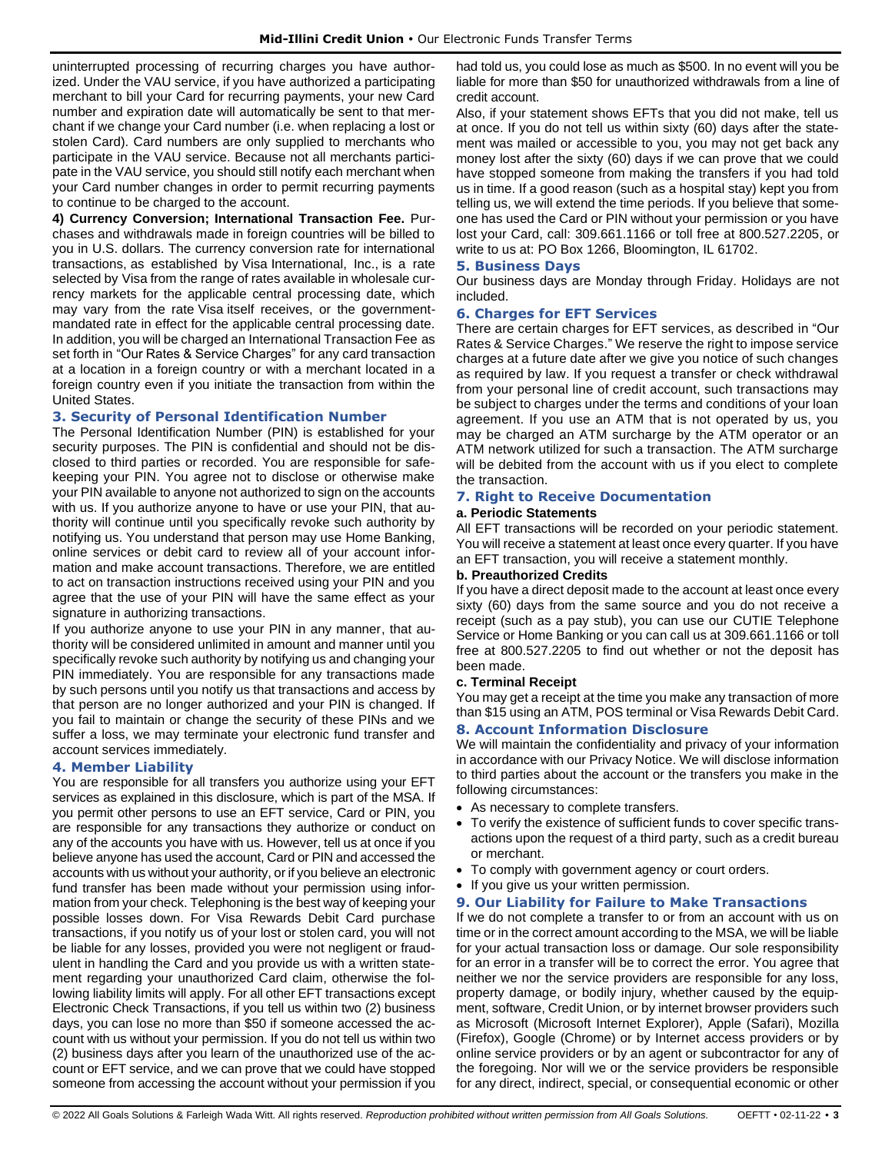uninterrupted processing of recurring charges you have authorized. Under the VAU service, if you have authorized a participating merchant to bill your Card for recurring payments, your new Card number and expiration date will automatically be sent to that merchant if we change your Card number (i.e. when replacing a lost or stolen Card). Card numbers are only supplied to merchants who participate in the VAU service. Because not all merchants participate in the VAU service, you should still notify each merchant when your Card number changes in order to permit recurring payments to continue to be charged to the account.

**4) Currency Conversion; International Transaction Fee.** Purchases and withdrawals made in foreign countries will be billed to you in U.S. dollars. The currency conversion rate for international transactions, as established by Visa International, Inc., is a rate selected by Visa from the range of rates available in wholesale currency markets for the applicable central processing date, which may vary from the rate Visa itself receives, or the governmentmandated rate in effect for the applicable central processing date. In addition, you will be charged an International Transaction Fee as set forth in "Our Rates & Service Charges" for any card transaction at a location in a foreign country or with a merchant located in a foreign country even if you initiate the transaction from within the United States.

## **3. Security of Personal Identification Number**

The Personal Identification Number (PIN) is established for your security purposes. The PIN is confidential and should not be disclosed to third parties or recorded. You are responsible for safekeeping your PIN. You agree not to disclose or otherwise make your PIN available to anyone not authorized to sign on the accounts with us. If you authorize anyone to have or use your PIN, that authority will continue until you specifically revoke such authority by notifying us. You understand that person may use Home Banking, online services or debit card to review all of your account information and make account transactions. Therefore, we are entitled to act on transaction instructions received using your PIN and you agree that the use of your PIN will have the same effect as your signature in authorizing transactions.

If you authorize anyone to use your PIN in any manner, that authority will be considered unlimited in amount and manner until you specifically revoke such authority by notifying us and changing your PIN immediately. You are responsible for any transactions made by such persons until you notify us that transactions and access by that person are no longer authorized and your PIN is changed. If you fail to maintain or change the security of these PINs and we suffer a loss, we may terminate your electronic fund transfer and account services immediately.

## **4. Member Liability**

You are responsible for all transfers you authorize using your EFT services as explained in this disclosure, which is part of the MSA. If you permit other persons to use an EFT service, Card or PIN, you are responsible for any transactions they authorize or conduct on any of the accounts you have with us. However, tell us at once if you believe anyone has used the account, Card or PIN and accessed the accounts with us without your authority, or if you believe an electronic fund transfer has been made without your permission using information from your check. Telephoning is the best way of keeping your possible losses down. For Visa Rewards Debit Card purchase transactions, if you notify us of your lost or stolen card, you will not be liable for any losses, provided you were not negligent or fraudulent in handling the Card and you provide us with a written statement regarding your unauthorized Card claim, otherwise the following liability limits will apply. For all other EFT transactions except Electronic Check Transactions, if you tell us within two (2) business days, you can lose no more than \$50 if someone accessed the account with us without your permission. If you do not tell us within two (2) business days after you learn of the unauthorized use of the account or EFT service, and we can prove that we could have stopped someone from accessing the account without your permission if you

had told us, you could lose as much as \$500. In no event will you be liable for more than \$50 for unauthorized withdrawals from a line of credit account.

Also, if your statement shows EFTs that you did not make, tell us at once. If you do not tell us within sixty (60) days after the statement was mailed or accessible to you, you may not get back any money lost after the sixty (60) days if we can prove that we could have stopped someone from making the transfers if you had told us in time. If a good reason (such as a hospital stay) kept you from telling us, we will extend the time periods. If you believe that someone has used the Card or PIN without your permission or you have lost your Card, call: 309.661.1166 or toll free at 800.527.2205, or write to us at: PO Box 1266, Bloomington, IL 61702.

#### **5. Business Days**

Our business days are Monday through Friday. Holidays are not included.

## **6. Charges for EFT Services**

There are certain charges for EFT services, as described in "Our Rates & Service Charges." We reserve the right to impose service charges at a future date after we give you notice of such changes as required by law. If you request a transfer or check withdrawal from your personal line of credit account, such transactions may be subject to charges under the terms and conditions of your loan agreement. If you use an ATM that is not operated by us, you may be charged an ATM surcharge by the ATM operator or an ATM network utilized for such a transaction. The ATM surcharge will be debited from the account with us if you elect to complete the transaction.

# **7. Right to Receive Documentation**

#### **a. Periodic Statements**

All EFT transactions will be recorded on your periodic statement. You will receive a statement at least once every quarter. If you have an EFT transaction, you will receive a statement monthly.

#### **b. Preauthorized Credits**

If you have a direct deposit made to the account at least once every sixty (60) days from the same source and you do not receive a receipt (such as a pay stub), you can use our CUTIE Telephone Service or Home Banking or you can call us at 309.661.1166 or toll free at 800.527.2205 to find out whether or not the deposit has been made.

## **c. Terminal Receipt**

You may get a receipt at the time you make any transaction of more than \$15 using an ATM, POS terminal or Visa Rewards Debit Card.

## **8. Account Information Disclosure**

We will maintain the confidentiality and privacy of your information in accordance with our Privacy Notice. We will disclose information to third parties about the account or the transfers you make in the following circumstances:

- As necessary to complete transfers.
- To verify the existence of sufficient funds to cover specific transactions upon the request of a third party, such as a credit bureau or merchant.
- To comply with government agency or court orders.
- If you give us your written permission.

## **9. Our Liability for Failure to Make Transactions**

If we do not complete a transfer to or from an account with us on time or in the correct amount according to the MSA, we will be liable for your actual transaction loss or damage. Our sole responsibility for an error in a transfer will be to correct the error. You agree that neither we nor the service providers are responsible for any loss, property damage, or bodily injury, whether caused by the equipment, software, Credit Union, or by internet browser providers such as Microsoft (Microsoft Internet Explorer), Apple (Safari), Mozilla (Firefox), Google (Chrome) or by Internet access providers or by online service providers or by an agent or subcontractor for any of the foregoing. Nor will we or the service providers be responsible for any direct, indirect, special, or consequential economic or other